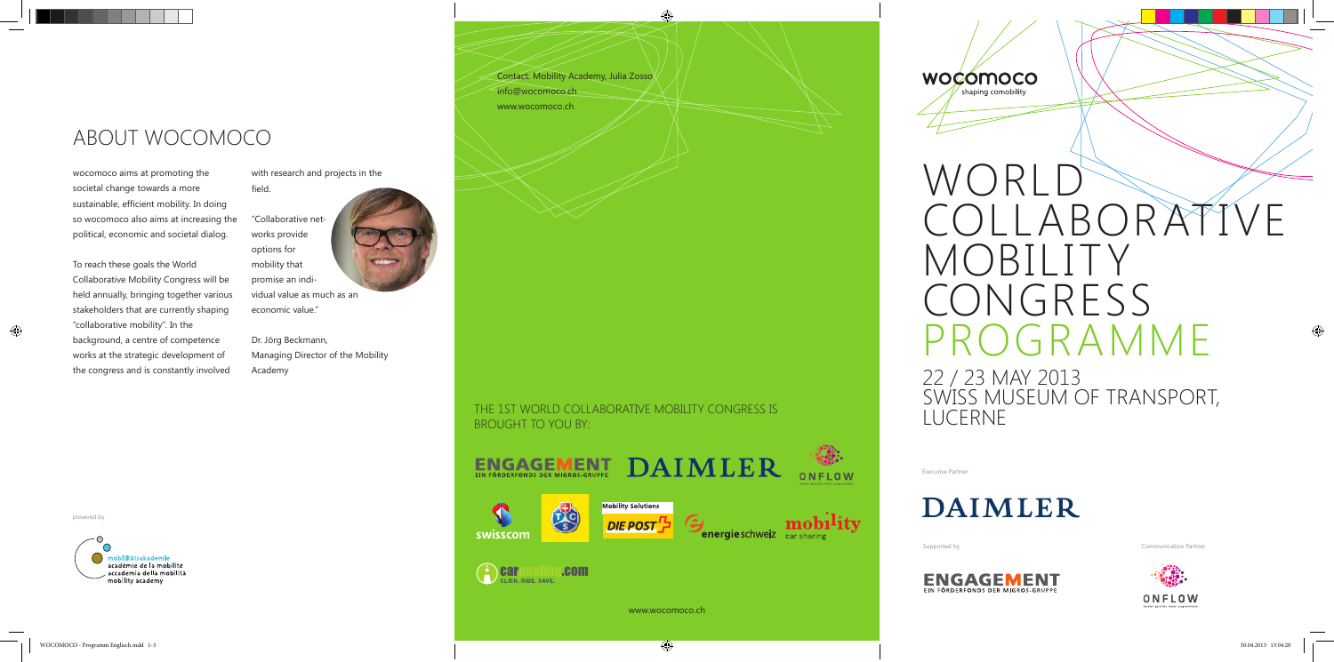Contact: Mobility Academy, Julia Zosso

info@wocomoco.ch

www.wocomoco.ch

powered by



# 22 / 23 MAY 2013 SWISS MUSEUM OF TRANSPORT, LUCERNE

ABOUT WOCOMOCO

wocomoco aims at promoting the societal change towards a more sustainable, efficient mobility. In doing so wocomoco also aims at increasing the political, economic and societal dialog.

with research and projects in the field.

To reach these goals the World Collaborative Mobility Congress will be held annually, bringing together various stakeholders that are currently shaping "collaborative mobility". In the background, a centre of competence works at the strategic development of the congress and is constantly involved

"Collaborative networks provide options for mobility that promise an individual value as much as an economic value."

Dr. Jörg Beckmann, Managing Director of the Mobility Academy

> THE 1ST WORLD COLLABORATIVE MOBILITY CONGRESS IS BROUGHT TO YOU BY:







académie de la mobilité accademia della mobilità mobility academy

Executive Partner





Supported by Communication Partner